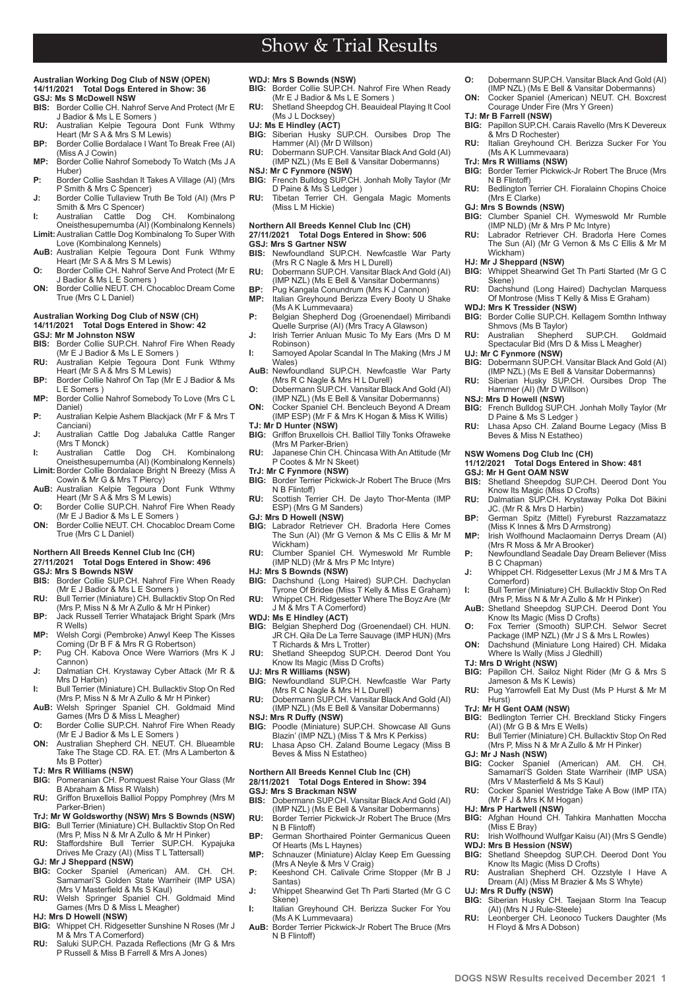# Show & Trial Results

### **Australian Working Dog Club of NSW (OPEN) 14/11/2021 Total Dogs Entered in Show: 36 GSJ: Ms S McDowell NSW**

- **BIS:** Border Collie CH. Nahrof Serve And Protect (Mr E J Badior & Ms L E Somers )
- **RU:** Australian Kelpie Tegoura Dont Funk Wthmy Heart (Mr S A & Mrs S M Lewis)
- **BP:** Border Collie Bordalace I Want To Break Free (AI) (Miss A J Cowin)
- **MP:** Border Collie Nahrof Somebody To Watch (Ms J A Huber)
- **P:** Border Collie Sashdan It Takes A Village (AI) (Mrs P Smith & Mrs C Spencer) **J:** Border Collie Tullaview Truth Be Told (AI) (Mrs P
- Smith & Mrs C Spencer)
- **I:** Australian Cattle Dog CH. Kombinalong Oneisthesupernumba (AI) (Kombinalong Kennels) **Limit:**Australian Cattle Dog Kombinalong To Super With
- Love (Kombinalong Kennels) **AuB:** Australian Kelpie Tegoura Dont Funk Wthmy Heart (Mr S A & Mrs S M Lewis)
- **O:** Border Collie CH. Nahrof Serve And Protect (Mr E J Badior & Ms L E Somers )
- **ON:** Border Collie NEUT. CH. Chocabloc Dream Come True (Mrs C L Daniel)

### **Australian Working Dog Club of NSW (CH) 14/11/2021 Total Dogs Entered in Show: 42**

- **GSJ: Mr M Johnston NSW**
- **BIS:** Border Collie SUP.CH. Nahrof Fire When Ready (Mr E J Badior & Ms L E Somers )
- **RU:** Australian Kelpie Tegoura Dont Funk Wthmy Heart (Mr S A & Mrs S M Lewis)
- **BP:** Border Collie Nahrof On Tap (Mr E J Badior & Ms L E Somers )
- **MP:** Border Collie Nahrof Somebody To Love (Mrs C L Daniel)
- **P:** Australian Kelpie Ashem Blackjack (Mr F & Mrs T Canciani)
- **J:** Australian Cattle Dog Jabaluka Cattle Ranger (Mrs T Monck)<br>Australian Cattle
- **I:** Australian Cattle Dog CH. Kombinalong Oneisthesupernumba (AI) (Kombinalong Kennels) **Limit:**Border Collie Bordalace Bright N Breezy (Miss A
- Cowin & Mr G & Mrs T Piercy) **AuB:** Australian Kelpie Tegoura Dont Funk Wthmy Heart (Mr S A & Mrs S M Lewis)
- **O:** Border Collie SUP.CH. Nahrof Fire When Ready
- (Mr E J Badior & Ms L E Somers ) **ON:** Border Collie NEUT. CH. Chocabloc Dream Come True (Mrs C L Daniel)

#### **Northern All Breeds Kennel Club Inc (CH)**

## **27/11/2021 Total Dogs Entered in Show: 496 GSJ: Mrs S Bownds NSW**

- Border Collie SUP.CH. Nahrof Fire When Ready
- (Mr E J Badior & Ms L E Somers ) **RU:** Bull Terrier (Miniature) CH. Bullacktiv Stop On Red (Mrs P, Miss N & Mr A Zullo & Mr H Pinker)
- **BP:** Jack Russell Terrier Whatajack Bright Spark (Mrs R Wells)
- **MP:** Welsh Corgi (Pembroke) Anwyl Keep The Kisses<br>Coming (Dr B F & Mrs R G Robertson) **P:** Pug CH. Kabova Once Were Warriors (Mrs K J
- Cannon) **J:** Dalmatian CH. Krystaway Cyber Attack (Mr R &
- Mrs D Harbin) **I:** Bull Terrier (Miniature) CH. Bullacktiv Stop On Red
- (Mrs P, Miss N & Mr A Zullo & Mr H Pinker)
- **AuB:** Welsh Springer Spaniel CH. Goldmaid Mind Games (Mrs D & Miss L Meagher) **O:** Border Collie SUP.CH. Nahrof Fire When Ready
- (Mr E J Badior & Ms L E Somers ) **ON:** Australian Shepherd CH. NEUT. CH. Blueamble
- Take The Stage CD. RA. ET. (Mrs A Lamberton & Ms B Potter)
- 
- **TJ: Mrs R Williams (NSW) BIG:** Pomeranian CH. Pomquest Raise Your Glass (Mr B Abraham & Miss R Walsh)
- **RU:** Griffon Bruxellois Balliol Poppy Pomphrey (Mrs M Parker-Brien)
- **TrJ: Mr W Goldsworthy (NSW) Mrs S Bownds (NSW) BIG:** Bull Terrier (Miniature) CH. Bullacktiv Stop On Red
- (Mrs P, Miss N & Mr A Zullo & Mr H Pinker) **RU:** Staffordshire Bull Terrier SUP.CH. Kypajuka Drives Me Crazy (AI) (Miss T L Tattersall)
- **GJ: Mr J Sheppard (NSW)**
- **BIG:** Cocker Spaniel (American) AM. CH. CH. Samamari'S Golden State Warriheir (IMP USA) (Mrs V Masterfield & Ms S Kaul)
- **RU:** Welsh Springer Spaniel CH. Goldmaid Mind Games (Mrs D & Miss L Meagher)
- **HJ: Mrs D Howell (NSW)**

**PDOGS NSW Results received December 2021 1** 

- **BIG:** Whippet CH. Ridgesetter Sunshine N Roses (Mr J M & Mrs T A Comerford)
- **RU:** Saluki SUP.CH. Pazada Reflections (Mr G & Mrs P Russell & Miss B Farrell & Mrs A Jones)
- **WDJ: Mrs S Bownds (NSW) BIG:** Border Collie SUP.CH. Nahrof Fire When Ready
- (Mr E J Badior & Ms L E Somers ) **RU:** Shetland Sheepdog CH. Beauideal Playing It Cool (Ms J L Docksey)
- 
- **UJ: Ms E Hindley (ACT)**<br>**BIG:** Siberian Husky S **BIG:** Siberian Husky SUP.CH. Oursibes Drop The Hammer (AI) (Mr D Willson) **RU:** Dobermann SUP.CH. Vansitar Black And Gold (AI)
- (IMP NZL) (Ms E Bell & Vansitar Dobermanns)
- **NSJ: Mr C Fynmore (NSW)**
- **BIG:** French Bulldog SUP.CH. Jonhah Molly Taylor (Mr D Paine & Ms S Ledger ) **RU:** Tibetan Terrier CH. Gengala Magic Moments (Miss L M Hickie)
- **Northern All Breeds Kennel Club Inc (CH)**

## **27/11/2021 Total Dogs Entered in Show: 506**

- **GSJ: Mrs S Gartner NSW**<br>**BIS:** Newfoundland SUP Newfoundland SUP.CH. Newfcastle War Party
- (Mrs R C Nagle & Mrs H L Durell) **RU:** Dobermann SUP.CH. Vansitar Black And Gold (AI) (IMP NZL) (Ms E Bell & Vansitar Dobermanns)
- **BP:** Pug Kangala Conundrum (Mrs K J Cannon) Italian Greyhound Berizza Every Booty U Shake
- (Ms A K Lummevaara)
- **P:** Belgian Shepherd Dog (Groenendael) Mirribandi Quelle Surprise (AI) (Mrs Tracy A Glawson) **J:** Irish Terrier Anluan Music To My Ears (Mrs D M
- Robinson)
- **I:** Samoyed Apolar Scandal In The Making (Mrs J M Wales) AuB: Newfoundland SUP.CH. Newfcastle War Party
- (Mrs R C Nagle & Mrs H L Durell) **O:** Dobermann SUP.CH. Vansitar Black And Gold (AI)
- (IMP NZL) (Ms E Bell & Vansitar Dobermanns)
- **ON:** Cocker Spaniel CH. Bencleuch Beyond A Dream (IMP ESP) (Mr F & Mrs K Hogan & Miss K Willis)

## **TJ: Mr D Hunter (NSW)**

- **BIG:** Griffon Bruxellois CH. Balliol Tilly Tonks Ofraweke (Mrs M Parker-Brien) **RU:** Japanese Chin CH. Chincasa With An Attitude (Mr
- P Cootes & Mr N Skeet) **TrJ: Mr C Fynmore (NSW)**
- **BIG:** Border Terrier Pickwick-Jr Robert The Bruce (Mrs N B Flintoff)
- **RU:** Scottish Terrier CH. De Jayto Thor-Menta (IMP ESP) (Mrs G M Sanders)
- **GJ: Mrs D Howell (NSW)**
- **BIG:** Labrador Retriever CH. Bradorla Here Comes The Sun (AI) (Mr G Vernon & Ms C Ellis & Mr M Wickham)
- **RU:** Clumber Spaniel CH. Wymeswold Mr Rumble (IMP NLD) (Mr & Mrs P Mc Intyre)
- **HJ: Mrs S Bownds (NSW)**
- **BIG:** Dachshund (Long Haired) SUP.CH. Dachyclan Tyrone Of Bridee (Miss T Kelly & Miss E Graham)
- **RU:** Whippet CH. Ridgesetter Where The Boyz Are (Mr J M & Mrs T A Comerford)
- **WDJ: Ms E Hindley (ACT)**
- **BIG:** Belgian Shepherd Dog (Groenendael) CH. HUN. JR CH. Qila De La Terre Sauvage (IMP HUN) (Mrs T Richards & Mrs L Trotter)
- **RU:** Shetland Sheepdog SUP.CH. Deerod Dont You Know Its Magic (Miss D Crofts)

### **UJ: Mrs R Williams (NSW)**

- **BIG:** Newfoundland SUP.CH. Newfcastle War Party (Mrs R C Nagle & Mrs H L Durell)
- **RU:** Dobermann SUP.CH. Vansitar Black And Gold (AI) (IMP NZL) (Ms E Bell & Vansitar Dobermanns)
- **NSJ: Mrs R Duffy (NSW) BIG:** Poodle (Miniature) SUP.CH. Showcase All Guns Blazin' (IMP NZL) (Miss T & Mrs K Perkiss) **RU:** Lhasa Apso CH. Zaland Bourne Legacy (Miss B
- Beves & Miss N Estatheo)

### **Northern All Breeds Kennel Club Inc (CH) 28/11/2021 Total Dogs Entered in Show: 394 GSJ: Mrs S Brackman NSW**<br>**BIS:** Dobermann SUPCH Va

- **BIS:** Dobermann SUP.CH. Vansitar Black And Gold (AI) (IMP NZL) (Ms E Bell & Vansitar Dobermanns)
- **RU:** Border Terrier Pickwick-Jr Robert The Bruce (Mrs N B Flintoff)
- **BP:** German Shorthaired Pointer Germanicus Queen Of Hearts (Ms L Haynes)
- **MP:** Schnauzer (Miniature) Alclay Keep Em Guessing (Mrs A Neyle & Mrs V Craig) **P:** Keeshond CH. Calivale Crime Stopper (Mr B J
- Santas)
- **J:** Whippet Shearwind Get Th Parti Started (Mr G C Skene) **I:** Italian Greyhound CH. Berizza Sucker For You
- (Ms A K Lummevaara)
- **AuB:** Border Terrier Pickwick-Jr Robert The Bruce (Mrs N B Flintoff)
- **O:** Dobermann SUP.CH. Vansitar Black And Gold (AI)
- (IMP NZL) (Ms E Bell & Vansitar Dobermanns) **ON:** Cocker Spaniel (American) NEUT. CH. Boxcrest
- Courage Under Fire (Mrs Y Green) **TJ: Mr B Farrell (NSW)**

(Mrs E Clarke) **GJ: Mrs S Bownds (NSW)**

Wickham) **HJ: Mr J Sheppard (NSW)**

Skene)

**WDJ: Mrs K Tressider (NSW)**

**UJ: Mr C Fynmore (NSW)**

**NSJ: Mrs D Howell (NSW)**

**GSJ: Mr H Gent OAM NSW**

Comerford)

**TJ: Mrs D Wright (NSW)**

(Miss E Bray)

**UJ: Mrs R Duffy (NSW)**<br>**BIG:** Siberian Husky C

**WDJ: Mrs B Hession (NSW)**

(AI) (Mrs N J Rule-Steele)

H Floyd & Mrs A Dobson)

Hurst) **TrJ: Mr H Gent OAM (NSW)**

Shmovs (Ms B Taylor)<br>Australian Shepherd

Hammer (AI) (Mr D Willson)

Beves & Miss N Estatheo) **NSW Womens Dog Club Inc (CH)** 

JC. (Mr R & Mrs D Harbin)

(Mrs R Moss & Mr A Brooker)

- **BIG:** Papillon SUP.CH. Carais Ravello (Mrs K Devereux
- 
- & Mrs D Rochester) **RU:** Italian Greyhound CH. Berizza Sucker For You (Ms A K Lummevaara) **TrJ: Mrs R Williams (NSW) BIG:** Border Terrier Pickwick-Jr Robert The Bruce (Mrs

N B Flintoff) **RU:** Bedlington Terrier CH. Fioralainn Chopins Choice

**BIG:** Clumber Spaniel CH. Wymeswold Mr Rumble (IMP NLD) (Mr & Mrs P Mc Intyre) **RU:** Labrador Retriever CH. Bradorla Here Comes The Sun (AI) (Mr G Vernon & Ms C Ellis & Mr M

**BIG:** Whippet Shearwind Get Th Parti Started (Mr G C

**RU:** Dachshund (Long Haired) Dachyclan Marquess Of Montrose (Miss T Kelly & Miss E Graham)

**BIG:** Border Collie SUP.CH. Kellagem Somthn Inthway

**RU:** Australian Shepherd SUP.CH. Goldmaid Spectacular Bid (Mrs D & Miss L Meagher)

**BIG:** Dobermann SUP.CH. Vansitar Black And Gold (AI) (IMP NZL) (Ms E Bell & Vansitar Dobermanns) **RU:** Siberian Husky SUP.CH. Oursibes Drop The

**BIG:** French Bulldog SUP.CH. Jonhah Molly Taylor (Mr D Paine & Ms S Ledger ) **RU:** Lhasa Apso CH. Zaland Bourne Legacy (Miss B

**BIS:** Shetland Sheepdog SUP.CH. Deerod Dont You Know Its Magic (Miss D Crofts) **RU:** Dalmatian SUP.CH. Krystaway Polka Dot Bikini

**BP:** German Spitz (Mittel) Fyreburst Razzamatazz (Miss K Innes & Mrs D Armstrong) **MP:** Irish Wolfhound Maclaomainn Derrys Dream (AI)

**P:** Newfoundland Seadale Day Dream Believer (Miss B C Chapman) **J:** Whippet CH. Ridgesetter Lexus (Mr J M & Mrs TA

**I:** Bull Terrier (Miniature) CH. Bullacktiv Stop On Red (Mrs P, Miss N & Mr A Zullo & Mr H Pinker) **AuB:** Shetland Sheepdog SUP.CH. Deerod Dont You Know Its Magic (Miss D Crofts)<br>**O:** Fox Terrier (Smooth) SUP.CH. Selwor Secret<br>Package (IMP NZL) (Mr J S & Mrs L Rowles) **ON:** Dachshund (Miniature Long Haired) CH. Midaka Where Is Wally (Miss J Gledhill)

**BIG:** Papillon CH. Sailoz Night Rider (Mr G & Mrs S Jameson & Ms K Lewis) **RU:** Pug Yarrowfell Eat My Dust (Ms P Hurst & Mr M

**BIG:** Bedlington Terrier CH. Breckland Sticky Fingers (AI) (Mr G B & Mrs E Wells) **RU:** Bull Terrier (Miniature) CH. Bullacktiv Stop On Red (Mrs P, Miss N & Mr A Zullo & Mr H Pinker) **GJ: Mr J Nash (NSW) BIG:** Cocker Spaniel (American) AM. CH. CH. Samamari'S Golden State Warriheir (IMP USA)

**RU:** Cocker Spaniel Westridge Take A Bow (IMP ITA)<br>(Mr F J & Mrs K M Hogan) **HJ: Mrs P Hartwell (NSW) BIG:** Afghan Hound CH. Tahkira Manhatten Moccha

**RU:** Irish Wolfhound Wulfgar Kaisu (AI) (Mrs S Gendle)

**BIG:** Shetland Sheepdog SUP.CH. Deerod Dont You Know Its Magic (Miss D Crofts) **RU:** Australian Shepherd CH. Ozzstyle I Have A Dream (AI) (Miss M Brazier & Ms S Whyte)

**BIG:** Siberian Husky CH. Taejaan Storm Ina Teacup

**RU:** Leonberger CH. Leonoco Tuckers Daughter (Ms

(Mrs V Masterfield & Ms S Kaul)

**11/12/2021 Total Dogs Entered in Show: 481**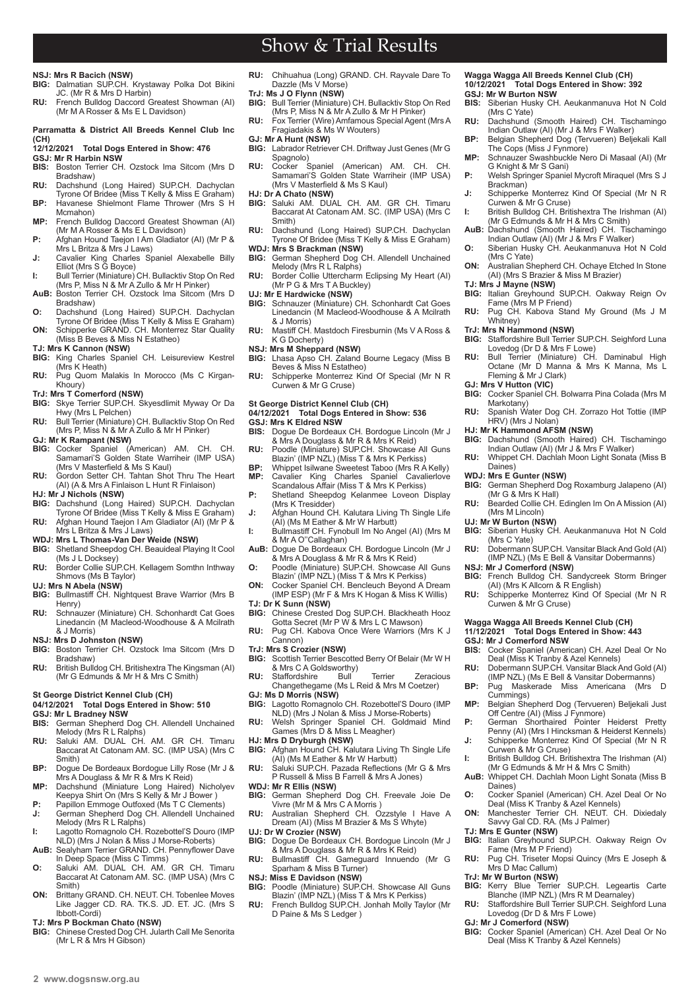Show & Trial Results

### **NSJ: Mrs R Bacich (NSW)**

- **BIG:** Dalmatian SUP.CH. Krystaway Polka Dot Bikini JC. (Mr R & Mrs D Harbin)
- **RU:** French Bulldog Daccord Greatest Showman (AI) (Mr M A Rosser & Ms E L Davidson)

#### **Parramatta & District All Breeds Kennel Club Inc (CH)**

## **12/12/2021 Total Dogs Entered in Show: 476**

- **GSJ: Mr R Harbin NSW** Boston Terrier CH. Ozstock Ima Sitcom (Mrs D Bradshaw)
- **RU:** Dachshund (Long Haired) SUP.CH. Dachyclan Tyrone Of Bridee (Miss T Kelly & Miss E Graham) **BP:** Havanese Shielmont Flame Thrower (Mrs S H Mcmahon)
- **MP:** French Bulldog Daccord Greatest Showman (AI) (Mr M A Rosser & Ms E L Davidson)
- **P:** Afghan Hound Taejon I Am Gladiator (AI) (Mr P & Mrs L Britza & Mrs J Laws)
- **J:** Cavalier King Charles Spaniel Alexabelle Billy<br>Elliot (Mrs S G Boyce)
- **I:** Bull Terrier (Miniature) CH. Bullacktiv Stop On Red<br>(Mrs P, Miss N & Mr A Zullo & Mr H Pinker)<br>**AuB:** Boston Terrier CH. Ozstock Ima Sitcom (Mrs D
- Bradshaw)
- **O:** Dachshund (Long Haired) SUP.CH. Dachyclan Tyrone Of Bridee (Miss T Kelly & Miss E Graham) **ON:** Schipperke GRAND. CH. Monterrez Star Quality
- (Miss B Beves & Miss N Estatheo) **TJ: Mrs K Cannon (NSW)**
- **BIG:** King Charles Spaniel CH. Leisureview Kestrel (Mrs K Heath)
- **RU:** Pug Quom Malakis In Morocco (Ms C Kirgan-Khoury)
- **TrJ: Mrs T Comerford (NSW)**
- **BIG:** Skye Terrier SUP.CH. Skyesdlimit Myway Or Da Hwy (Mrs L Pelchen)
- **RU:** Bull Terrier (Miniature) CH. Bullacktiv Stop On Red (Mrs P, Miss N & Mr A Zullo & Mr H Pinker)
- **GJ: Mr K Rampant (NSW)**<br>**BIG:** Cocker Spaniel (A **BIG:** Cocker Spaniel (American) AM. CH. CH. Samamari'S Golden State Warriheir (IMP USA)
- (Mrs V Masterfield & Ms S Kaul) **RU:** Gordon Setter CH. Tahtan Shot Thru The Heart (AI) (A & Mrs A Finlaison L Hunt R Finlaison)
- **HJ: Mr J Nichols (NSW)**
- **BIG:** Dachshund (Long Haired) SUP.CH. Dachyclan Tyrone Of Bridee (Miss T Kelly & Miss E Graham) **RU:** Afghan Hound Taejon I Am Gladiator (AI) (Mr P &
- Mrs L Britza & Mrs J Laws) **WDJ: Mrs L Thomas-Van Der Weide (NSW)**
- **BIG:** Shetland Sheepdog CH. Beauideal Playing It Cool
- (Ms J L Docksey) **RU:** Border Collie SUP.CH. Kellagem Somthn Inthway Shmovs (Ms B Taylor)
- 
- **UJ: Mrs N Abela (NSW)**<br>**BIG:** Bullmastiff CH. Nightquest Brave Warrior (Mrs B Henry)
- **RU:** Schnauzer (Miniature) CH. Schonhardt Cat Goes Linedancin (M Macleod-Woodhouse & A Mcilrath & J Morris)

- **NSJ: Mrs D Johnston (NSW)**<br>**BIG:** Boston Terrier CH. Ozs Boston Terrier CH. Ozstock Ima Sitcom (Mrs D Bradshaw)
- **RU:** British Bulldog CH. Britishextra The Kingsman (AI)<br>(Mr G Edmunds & Mr H & Mrs C Smith)

#### **St George District Kennel Club (CH)**

#### **04/12/2021 Total Dogs Entered in Show: 510 GSJ: Mr L Bradney NSW**

- **BIS:** German Shepherd Dog CH. Allendell Unchained
- Melody (Mrs R L Ralphs) **RU:** Saluki AM. DUAL CH. AM. GR CH. Timaru Baccarat At Catonam AM. SC. (IMP USA) (Mrs C Smith)
- **BP:** Dogue De Bordeaux Bordogue Lilly Rose (Mr J &
- Mrs A Douglass & Mr R & Mrs K Reid) **MP:** Dachshund (Miniature Long Haired) Nicholyev Keepya Shirt On (Mrs S Kelly & Mr J Bower ) **P:** Papillon Emmoge Outfoxed (Ms T C Clements)
- **J:** German Shepherd Dog CH. Allendell Unchained Melody (Mrs R L Ralphs)
- **I:** Lagotto Romagnolo CH. Rozebottel'S Douro (IMP NLD) (Mrs J Nolan & Miss J Morse-Roberts)
- **AuB:** Sealyham Terrier GRAND. CH. Pennyflower Dave In Deep Space (Miss C Timms) **O:** Saluki AM. DUAL CH. AM. GR CH. Timaru
- Baccarat At Catonam AM. SC. (IMP USA) (Mrs C Smith)
- **ON:** Brittany GRAND. CH. NEUT. CH. Tobenlee Moves Like Jagger CD. RA. TK.S. JD. ET. JC. (Mrs S Ibbott-Cordi)
- 
- **TJ: Mrs P Bockman Chato (NSW) BIG:** Chinese Crested Dog CH. Jularth Call Me Senorita (Mr L R & Mrs H Gibson)
- **RU:** Chihuahua (Long) GRAND. CH. Rayvale Dare To Dazzle (Ms V Morse)
- **TrJ: Ms J O Flynn (NSW) BIG:** Bull Terrier (Miniature) CH. Bullacktiv Stop On Red (Mrs P, Miss N & Mr A Zullo & Mr H Pinker)
- **RU:** Fox Terrier (Wire) Amfamous Special Agent (Mrs A Fragiadakis & Ms W Wouters)
- **GJ: Mr A Hunt (NSW)**
- **BIG:** Labrador Retriever CH. Driftway Just Genes (Mr G Spagnolo) **RU:** Cocker Spaniel (American) AM. CH. CH.
- Samamari'S Golden State Warriheir (IMP USA) (Mrs V Masterfield & Ms S Kaul)
- **HJ: Dr A Chato (NSW)**
- **BIG:** Saluki AM. DUAL CH. AM. GR CH. Timaru Baccarat At Catonam AM. SC. (IMP USA) (Mrs C Smith)
- **RU:** Dachshund (Long Haired) SUP.CH. Dachyclan Tyrone Of Bridee (Miss T Kelly & Miss E Graham)
- **WDJ: Mrs S Brackman (NSW) BIG:** German Shepherd Dog CH. Allendell Unchained Melody (Mrs R L Ralphs)
- **RU:** Border Collie Uttercharm Eclipsing My Heart (AI) (Mr P G & Mrs T A Buckley)
- **UJ: Mr E Hardwicke (NSW)**<br>**BIG:** Schnauzer (Miniature)
- Schnauzer (Miniature) CH. Schonhardt Cat Goes Linedancin (M Macleod-Woodhouse & A Mcilrath & J Morris)
- **RU:** Mastiff CH. Mastdoch Firesburnin (Ms V A Ross & K G Docherty)
- **NSJ: Mrs M Sheppard (NSW)**
- **BIG:** Lhasa Apso CH. Zaland Bourne Legacy (Miss B Beves & Miss N Estatheo) **RU:** Schipperke Monterrez Kind Of Special (Mr N R
- Curwen & Mr G Cruse)

### **St George District Kennel Club (CH)**

**04/12/2021 Total Dogs Entered in Show: 536 GSJ: Mrs K Eldred NSW**

- **BIS:** Dogue De Bordeaux CH. Bordogue Lincoln (Mr J & Mrs A Douglass & Mr R & Mrs K Reid) **RU:** Poodle (Miniature) SUP.CH. Showcase All Guns
- Blazin' (IMP NZL) (Miss T & Mrs K Perkiss)
- **BP:** Whippet Isilwane Sweetest Taboo (Mrs R A Kelly) **MP:** Cavalier King Charles Spaniel Cavalierlove Scandalous Affair (Miss T & Mrs K Perkiss)
- **P:** Shetland Sheepdog Kelanmee Loveon Display (Mrs K Tresidder) **J:** Afghan Hound CH. Kalutara Living Th Single Life
- (AI) (Ms M Eather & Mr W Harbutt)
- **I:** Bullmastiff CH. Fynobull Im No Angel (AI) (Mrs M & Mr A O''Callaghan)
- **AuB:** Dogue De Bordeaux CH. Bordogue Lincoln (Mr J
- & Mrs A Douglass & Mr R & Mrs K Reid) **O:** Poodle (Miniature) SUP.CH. Showcase All Guns Blazin' (IMP NZL) (Miss T & Mrs K Perkiss)
- **ON:** Cocker Spaniel CH. Bencleuch Beyond A Dream (IMP ESP) (Mr F & Mrs K Hogan & Miss K Willis) **TJ: Dr K Sunn (NSW)**
- 
- **BIG:** Chinese Crested Dog SUP.CH. Blackheath Hooz Gotta Secret (Mr P W & Mrs L C Mawson) **RU:** Pug CH. Kabova Once Were Warriors (Mrs K J
- Cannon) **TrJ: Mrs S Crozier (NSW)**
- **BIG:** Scottish Terrier Bescotted Berry Of Belair (Mr W H & Mrs C A Goldsworthy)<br>Staffordshire Bull
- **RU:** Staffordshire Bull Terrier Zeracious<br>Changethegame (Ms L Reid & Mrs M Coetzer)
- **GJ: Ms D Morris (NSW) BIG:** Lagotto Romagnolo CH. Rozebottel'S Douro (IMP NLD) (Mrs J Nolan & Miss J Morse-Roberts)
- **RU:** Welsh Springer Spaniel CH. Goldmaid Mind Games (Mrs D & Miss L Meagher)
- **HJ: Mrs D Dryburgh (NSW) BIG:** Afghan Hound CH. Kalutara Living Th Single Life (AI) (Ms M Eather & Mr W Harbutt)
- **RU:** Saluki SUP.CH. Pazada Reflections (Mr G & Mrs P Russell & Miss B Farrell & Mrs A Jones)
- **WDJ: Mr R Ellis (NSW)**
- **BIG:** German Shepherd Dog CH. Freevale Joie De Vivre (Mr M & Mrs C A Morris )
- **RU:** Australian Shepherd CH. Ozzstyle I Have A Dream (AI) (Miss M Brazier & Ms S Whyte)
- **UJ: Dr W Crozier (NSW)**<br>**BIG:** Doque De Bordeau **BIG:** Dogue De Bordeaux CH. Bordogue Lincoln (Mr J
- & Mrs A Douglass & Mr R & Mrs K Reid) **RU:** Bullmastiff CH. Gameguard Innuendo (Mr G<br>Sparham & Miss B Turner)
- 
- **NSJ: Miss E Davidson (NSW)**
- **BIG:** Poodle (Miniature) SUP.CH. Showcase All Guns Blazin' (IMP NZL) (Miss T & Mrs K Perkiss)
- **RU:** French Bulldog SUP.CH. Jonhah Molly Taylor (Mr D Paine & Ms S Ledger )

## **Wagga Wagga All Breeds Kennel Club (CH) 10/12/2021 Total Dogs Entered in Show: 392 GSJ: Mr W Burton NSW**

- **BIS:** Siberian Husky CH. Aeukanmanuva Hot N Cold (Mrs C Yate)
- **RU:** Dachshund (Smooth Haired) CH. Tischamingo Indian Outlaw (AI) (Mr J & Mrs F Walker) **BP:** Belgian Shepherd Dog (Tervueren) Beljekali Kall
- The Cops (Miss J Fynmore) **MP:** Schnauzer Swashbuckle Nero Di Masaal (AI) (Mr
- G Knight & Mr S Gani)
- **P:** Welsh Springer Spaniel Mycroft Miraquel (Mrs S J Brackman)
- **J:** Schipperke Monterrez Kind Of Special (Mr N R Curwen & Mr G Cruse) **I:** British Bulldog CH. Britishextra The Irishman (AI)
- (Mr G Edmunds & Mr H & Mrs C Smith) **AuB:** Dachshund (Smooth Haired) CH. Tischamingo Indian Outlaw (AI) (Mr J & Mrs F Walker)

**O:** Siberian Husky CH. Aeukanmanuva Hot N Cold

**ON:** Australian Shepherd CH. Ochaye Etched In Stone (AI) (Mrs S Brazier & Miss M Brazier)

**BIG:** Italian Greyhound SUP.CH. Oakway Reign Ov

**RU:** Pug CH. Kabova Stand My Ground (Ms J M Whitney)

**BIG:** Staffordshire Bull Terrier SUP.CH. Seighford Luna

**RU:** Bull Terrier (Miniature) CH. Daminabul High Octane (Mr D Manna & Mrs K Manna, Ms L

**GJ: Mrs V Hutton (VIC) BIG:** Cocker Spaniel CH. Bolwarra Pina Colada (Mrs M

**HJ: Mr K Hammond AFSM (NSW)**<br>**BIG:** Dachshund (Smooth Haired) CH. Tischamingo<br>Indian Outlaw (AI) (Mr J & Mrs F Walker) **RU:** Whippet CH. Dachlah Moon Light Sonata (Miss B

**BIG:** German Shepherd Dog Roxamburg Jalapeno (AI)

**RU:** Bearded Collie CH. Edinglen Im On A Mission (AI)

**BIG:** Siberian Husky CH. Aeukanmanuva Hot N Cold (Mrs C Yate) **RU:** Dobermann SUP.CH. Vansitar Black And Gold (AI) (IMP NZL) (Ms E Bell & Vansitar Dobermanns)

**BIG:** French Bulldog CH. Sandycreek Storm Bringer (AI) (Mrs K Allcorn & R English) **RU:** Schipperke Monterrez Kind Of Special (Mr N R

**BIS:** Cocker Spaniel (American) CH. Azel Deal Or No Deal (Miss K Tranby & Azel Kennels) **RU:** Dobermann SUP.CH. Vansitar Black And Gold (AI) (IMP NZL) (Ms E Bell & Vansitar Dobermanns) **BP:** Pug Maskerade Miss Americana (Mrs Cummings) **MP:** Belgian Shepherd Dog (Tervueren) Beljekali Just Off Centre (AI) (Miss J Fynmore)

**P:** German Shorthaired Pointer Heiderst Pretty Penny (AI) (Mrs I Hincksman & Heiderst Kennels) **J:** Schipperke Monterrez Kind Of Special (Mr N R

**I:** British Bulldog CH. Britishextra The Irishman (AI) (Mr G Edmunds & Mr H & Mrs C Smith) **AuB:** Whippet CH. Dachlah Moon Light Sonata (Miss B

**O:** Cocker Spaniel (American) CH. Azel Deal Or No Deal (Miss K Tranby & Azel Kennels) **ON:** Manchester Terrier CH. NEUT. CH. Dixiedaly Savvy Gal CD. RA. (Ms J Palmer)

**BIG:** Italian Greyhound SUP.CH. Oakway Reign Ov Fame (Mrs M P Friend) **RU:** Pug CH. Triseter Mopsi Quincy (Mrs E Joseph &

**BIG:** Kerry Blue Terrier SUP.CH. Legeartis Carte Blanche (IMP NZL) (Mrs R M Dearnaley) **RU:** Staffordshire Bull Terrier SUP.CH. Seighford Luna

**BIG:** Cocker Spaniel (American) CH. Azel Deal Or No Deal (Miss K Tranby & Azel Kennels)

Spanish Water Dog CH. Zorrazo Hot Tottie (IMP

(Mrs C Yate)

**TJ: Mrs J Mayne (NSW)**

Fame (Mrs M P Friend)

Lovedog (Dr D & Mrs F Lowe)

**TrJ: Mrs N Hammond (NSW)**

Fleming & Mr J Clark)

HRV) (Mrs J Nolan)

(Mr G & Mrs K Hall)

(Mrs M Lincoln) **UJ: Mr W Burton (NSW)**

**NSJ: Mr J Comerford (NSW)**

**GSJ: Mr J Comerford NSW**

Curwen & Mr G Cruse)

Curwen & Mr G Cruse)

Daines)

**TJ: Mrs E Gunter (NSW)**

Mrs D Mac Callum) **TrJ: Mr W Burton (NSW)**

**GJ: Mr J Comerford (NSW)**

Lovedog (Dr D & Mrs F Lowe)

**Wagga Wagga All Breeds Kennel Club (CH) 11/12/2021 Total Dogs Entered in Show: 443**

Markotany)

Daines) **WDJ: Mrs E Gunter (NSW)**

 $2$  www.dogsnsw.org.au **DOGS NSW Results received December 2021 3**